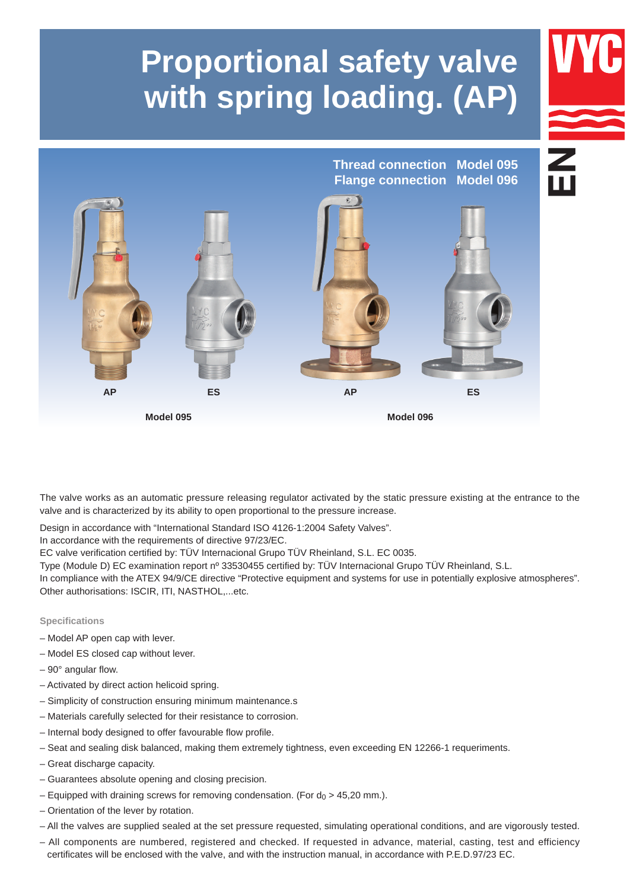# **Proportional safety valve with spring loading. (AP)**



The valve works as an automatic pressure releasing regulator activated by the static pressure existing at the entrance to the valve and is characterized by its ability to open proportional to the pressure increase.

Design in accordance with "International Standard ISO 4126-1:2004 Safety Valves".

In accordance with the requirements of directive 97/23/EC.

EC valve verification certified by: TÜV Internacional Grupo TÜV Rheinland, S.L. EC 0035.

Type (Module D) EC examination report nº 33530455 certified by: TÜV Internacional Grupo TÜV Rheinland, S.L. 

In compliance with the ATEX 94/9/CE directive "Protective equipment and systems for use in potentially explosive atmospheres". Other authorisations: ISCIR, ITI, NASTHOL,...etc.

# **Specifications**

- Model AP open cap with lever.
- Model ES closed cap without lever.
- 90° angular flow.
- Activated by direct action helicoid spring.
- Simplicity of construction ensuring minimum maintenance.s
- Materials carefully selected for their resistance to corrosion.
- Internal body designed to offer favourable flow profile.
- Seat and sealing disk balanced, making them extremely tightness, even exceeding EN 12266-1 requeriments.
- Great discharge capacity.
- Guarantees absolute opening and closing precision.
- Equipped with draining screws for removing condensation. (For  $d_0 > 45,20$  mm.).
- Orientation of the lever by rotation.
- All the valves are supplied sealed at the set pressure requested, simulating operational conditions, and are vigorously tested.
- All components are numbered, registered and checked. If requested in advance, material, casting, test and efficiency certificates will be enclosed with the valve, and with the instruction manual, in accordance with P.E.D.97/23 EC.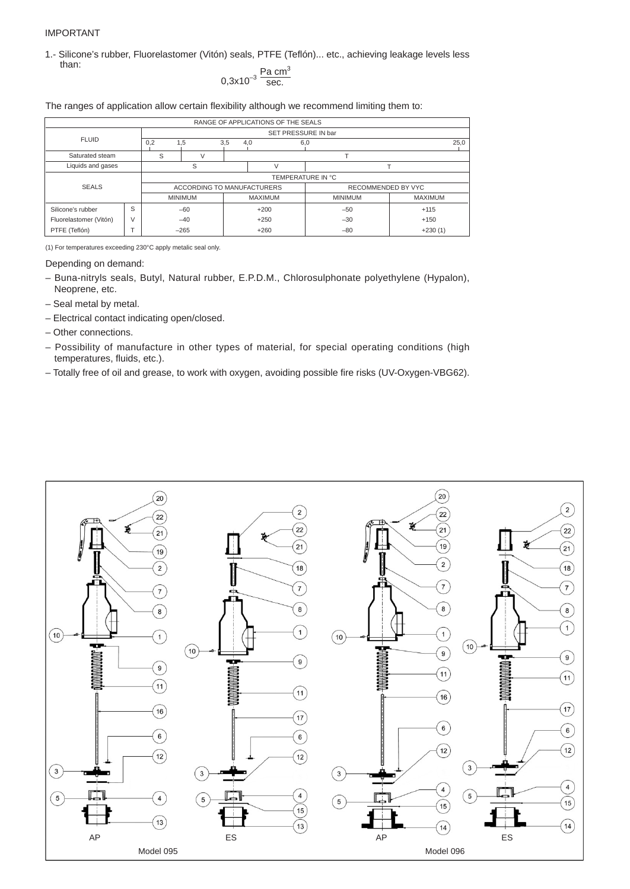## IMPORTANT

1.- Silicone's rubber, Fluorelastomer (Vitón) seals, PTFE (Teflón)... etc., achieving leakage levels less than:

$$
0.3x10^{-3} \frac{\text{Pa cm}^3}{\text{sec.}}
$$

The ranges of application allow certain flexibility although we recommend limiting them to:

| RANGE OF APPLICATIONS OF THE SEALS |   |     |                            |     |                     |                    |                |      |  |  |  |  |  |  |
|------------------------------------|---|-----|----------------------------|-----|---------------------|--------------------|----------------|------|--|--|--|--|--|--|
|                                    |   |     |                            |     |                     |                    |                |      |  |  |  |  |  |  |
|                                    |   |     |                            |     | SET PRESSURE IN bar |                    |                |      |  |  |  |  |  |  |
| <b>FLUID</b>                       |   | 0,2 | 1.5                        | 3,5 | 4,0                 | 6,0                |                | 25,0 |  |  |  |  |  |  |
| Saturated steam                    |   | S   |                            |     |                     |                    |                |      |  |  |  |  |  |  |
| Liquids and gases                  |   |     | S                          |     |                     |                    |                |      |  |  |  |  |  |  |
|                                    |   |     |                            |     |                     | TEMPERATURE IN °C  |                |      |  |  |  |  |  |  |
| <b>SEALS</b>                       |   |     | ACCORDING TO MANUFACTURERS |     |                     | RECOMMENDED BY VYC |                |      |  |  |  |  |  |  |
|                                    |   |     | <b>MINIMUM</b>             |     | <b>MAXIMUM</b>      | <b>MINIMUM</b>     | <b>MAXIMUM</b> |      |  |  |  |  |  |  |
| Silicone's rubber                  | S |     | $-60$                      |     | $+200$              | $-50$              | $+115$         |      |  |  |  |  |  |  |
| Fluorelastomer (Vitón)             | V |     | $-40$                      |     | $+250$              | $-30$              | $+150$         |      |  |  |  |  |  |  |
| PTFE (Teflón)                      |   |     | $-265$                     |     | $+260$              | $-80$              | $+230(1)$      |      |  |  |  |  |  |  |

(1) For temperatures exceeding 230°C apply metalic seal only.

Depending on demand:

- Buna-nitryls seals, Butyl, Natural rubber, E.P.D.M., Chlorosulphonate polyethylene (Hypalon), Neoprene, etc.
- Seal metal by metal.
- Electrical contact indicating open/closed.
- Other connections.
- Possibility of manufacture in other types of material, for special operating conditions (high temperatures, fluids, etc.).
- Totally free of oil and grease, to work with oxygen, avoiding possible fire risks (UV-Oxygen-VBG62).

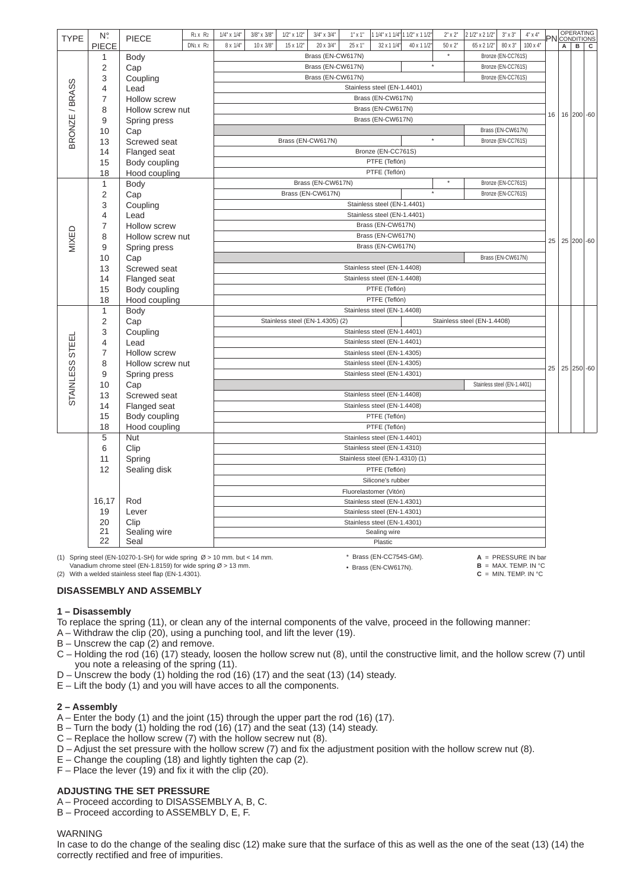| <b>TYPE</b>     | N°.            | <b>PIECE</b>                                                                         | R <sub>1</sub> x R <sub>2</sub>  | $1/4"$ x $1/4"$ | $3/8" \times 3/8"$ | $1/2"$ x $1/2"$   | $3/4" \times 3/4"$              | $1"$ x $1"$ | 1 1/4" x 1 1/4" 1 1/2" x 1 1/2" |            | $2" \times 2"$      | 2 1/2" x 2 1/2"             | $3" \times 3"$                | $4" \times 4"$        |    |             |             | <b>PN</b> CONDITIONS |
|-----------------|----------------|--------------------------------------------------------------------------------------|----------------------------------|-----------------|--------------------|-------------------|---------------------------------|-------------|---------------------------------|------------|---------------------|-----------------------------|-------------------------------|-----------------------|----|-------------|-------------|----------------------|
|                 | <b>PIECE</b>   |                                                                                      | DN <sub>1</sub> x R <sub>2</sub> | 8 x 1/4"        | 10 x 3/8"          | 15 x 1/2"         | 20 x 3/4"<br>Brass (EN-CW617N)  | 25 x 1"     | 32 x 1 1/4"                     | 40 x 1 1/2 | 50 x 2"<br>$^\star$ | 65 x 2 1/2"                 | 80 x 3"<br>Bronze (EN-CC761S) | 100 x 4"              |    | $\,$ A $\,$ | $\,$ B $\,$ | C                    |
|                 | 1              | <b>Body</b>                                                                          |                                  |                 |                    |                   | Brass (EN-CW617N)               |             |                                 |            | $\star$             |                             | Bronze (EN-CC761S)            |                       |    |             |             |                      |
|                 | 2              | Cap                                                                                  |                                  |                 |                    |                   | Brass (EN-CW617N)               |             |                                 |            |                     |                             | Bronze (EN-CC761S)            |                       |    |             |             |                      |
|                 | 3              | Coupling                                                                             |                                  |                 |                    |                   |                                 |             | Stainless steel (EN-1.4401)     |            |                     |                             |                               |                       |    |             |             |                      |
|                 | 4<br>7         | Lead                                                                                 |                                  |                 |                    |                   |                                 |             | Brass (EN-CW617N)               |            |                     |                             |                               |                       |    |             |             |                      |
|                 |                | Hollow screw                                                                         |                                  |                 |                    |                   |                                 |             | Brass (EN-CW617N)               |            |                     |                             |                               |                       |    |             |             |                      |
|                 | 8<br>9         | Hollow screw nut                                                                     |                                  |                 |                    |                   |                                 |             | Brass (EN-CW617N)               |            |                     |                             |                               |                       | 16 |             |             | 16 200 -60           |
|                 | 10             | Spring press<br>Cap                                                                  |                                  |                 |                    |                   |                                 |             |                                 |            |                     |                             | Brass (EN-CW617N)             |                       |    |             |             |                      |
| BRONZE / BRASS  | 13             | Screwed seat                                                                         |                                  |                 |                    | Brass (EN-CW617N) |                                 |             |                                 |            | $^\star$            |                             | Bronze (EN-CC761S)            |                       |    |             |             |                      |
|                 | 14             | Flanged seat                                                                         |                                  |                 |                    |                   |                                 |             | Bronze (EN-CC761S)              |            |                     |                             |                               |                       |    |             |             |                      |
|                 | 15             | Body coupling                                                                        |                                  |                 |                    |                   |                                 |             | PTFE (Teflón)                   |            |                     |                             |                               |                       |    |             |             |                      |
|                 | 18             | Hood coupling                                                                        |                                  |                 |                    |                   |                                 |             | PTFE (Teflón)                   |            |                     |                             |                               |                       |    |             |             |                      |
|                 | $\mathbf{1}$   | <b>Body</b>                                                                          |                                  |                 |                    |                   | Brass (EN-CW617N)               |             |                                 |            | $^\star$            |                             | Bronze (EN-CC761S)            |                       |    |             |             |                      |
|                 | $\overline{2}$ | Cap                                                                                  |                                  |                 |                    |                   | Brass (EN-CW617N)               |             |                                 |            |                     |                             | Bronze (EN-CC761S)            |                       |    |             |             |                      |
|                 | 3              | Coupling                                                                             |                                  |                 |                    |                   |                                 |             | Stainless steel (EN-1.4401)     |            |                     |                             |                               |                       |    |             |             |                      |
|                 | 4              | Lead                                                                                 |                                  |                 |                    |                   |                                 |             | Stainless steel (EN-1.4401)     |            |                     |                             |                               |                       |    |             |             |                      |
|                 | $\overline{7}$ | <b>Hollow screw</b>                                                                  |                                  |                 |                    |                   |                                 |             | Brass (EN-CW617N)               |            |                     |                             |                               |                       |    |             |             |                      |
| MIXED           | 8              | Hollow screw nut                                                                     |                                  |                 |                    |                   |                                 |             | Brass (EN-CW617N)               |            |                     |                             |                               |                       |    |             |             |                      |
|                 | 9              | Spring press                                                                         |                                  |                 |                    |                   |                                 |             | Brass (EN-CW617N)               |            |                     |                             |                               |                       | 25 |             |             | 25 200 -60           |
|                 | 10             | Cap                                                                                  |                                  |                 |                    |                   |                                 |             |                                 |            |                     |                             | Brass (EN-CW617N)             |                       |    |             |             |                      |
|                 | 13             | Screwed seat                                                                         |                                  |                 |                    |                   |                                 |             | Stainless steel (EN-1.4408)     |            |                     |                             |                               |                       |    |             |             |                      |
|                 | 14             | Flanged seat                                                                         |                                  |                 |                    |                   |                                 |             | Stainless steel (EN-1.4408)     |            |                     |                             |                               |                       |    |             |             |                      |
|                 | 15             | Body coupling                                                                        |                                  |                 |                    |                   |                                 |             | PTFE (Teflón)                   |            |                     |                             |                               |                       |    |             |             |                      |
|                 | 18             | Hood coupling                                                                        |                                  |                 |                    |                   |                                 |             | PTFE (Teflón)                   |            |                     |                             |                               |                       |    |             |             |                      |
|                 | $\mathbf{1}$   | <b>Body</b>                                                                          |                                  |                 |                    |                   |                                 |             | Stainless steel (EN-1.4408)     |            |                     |                             |                               |                       |    |             |             |                      |
|                 | $\overline{2}$ | Cap                                                                                  |                                  |                 |                    |                   | Stainless steel (EN-1.4305) (2) |             |                                 |            |                     | Stainless steel (EN-1.4408) |                               |                       |    |             |             |                      |
|                 | 3              | Coupling                                                                             |                                  |                 |                    |                   |                                 |             | Stainless steel (EN-1.4401)     |            |                     |                             |                               |                       |    |             |             |                      |
|                 | 4              | Lead                                                                                 |                                  |                 |                    |                   |                                 |             | Stainless steel (EN-1.4401)     |            |                     |                             |                               |                       |    |             |             |                      |
| STAINLESS STEEI | $\overline{7}$ | <b>Hollow screw</b>                                                                  |                                  |                 |                    |                   |                                 |             | Stainless steel (EN-1.4305)     |            |                     |                             |                               |                       |    |             |             |                      |
|                 | 8              | Hollow screw nut                                                                     |                                  |                 |                    |                   |                                 |             | Stainless steel (EN-1.4305)     |            |                     |                             |                               |                       | 25 |             |             | 25 250 -60           |
|                 | 9              | Spring press                                                                         |                                  |                 |                    |                   |                                 |             | Stainless steel (EN-1.4301)     |            |                     |                             |                               |                       |    |             |             |                      |
|                 | 10             | Cap                                                                                  |                                  |                 |                    |                   |                                 |             |                                 |            |                     |                             | Stainless steel (EN-1.4401)   |                       |    |             |             |                      |
|                 | 13             | Screwed seat                                                                         |                                  |                 |                    |                   |                                 |             | Stainless steel (EN-1.4408)     |            |                     |                             |                               |                       |    |             |             |                      |
|                 | 14             | Flanged seat                                                                         |                                  |                 |                    |                   |                                 |             | Stainless steel (EN-1.4408)     |            |                     |                             |                               |                       |    |             |             |                      |
|                 | 15             | Body coupling                                                                        |                                  |                 |                    |                   |                                 |             | PTFE (Teflón)                   |            |                     |                             |                               |                       |    |             |             |                      |
|                 | 18             | Hood coupling                                                                        |                                  |                 |                    |                   |                                 |             | PTFE (Teflón)                   |            |                     |                             |                               |                       |    |             |             |                      |
|                 | 5              | Nut                                                                                  |                                  |                 |                    |                   |                                 |             | Stainless steel (EN-1.4401)     |            |                     |                             |                               |                       |    |             |             |                      |
|                 | 6              | Clip                                                                                 |                                  |                 |                    |                   |                                 |             | Stainless steel (EN-1.4310)     |            |                     |                             |                               |                       |    |             |             |                      |
|                 | 11             | Spring                                                                               |                                  |                 |                    |                   |                                 |             | Stainless steel (EN-1.4310) (1) |            |                     |                             |                               |                       |    |             |             |                      |
|                 | 12             | Sealing disk                                                                         |                                  |                 |                    |                   |                                 |             | PTFE (Teflón)                   |            |                     |                             |                               |                       |    |             |             |                      |
|                 |                |                                                                                      |                                  |                 |                    |                   |                                 |             | Silicone's rubber               |            |                     |                             |                               |                       |    |             |             |                      |
|                 |                |                                                                                      |                                  |                 |                    |                   |                                 |             | Fluorelastomer (Vitón)          |            |                     |                             |                               |                       |    |             |             |                      |
|                 | 16,17          | Rod                                                                                  |                                  |                 |                    |                   |                                 |             | Stainless steel (EN-1.4301)     |            |                     |                             |                               |                       |    |             |             |                      |
|                 | 19             | Lever                                                                                |                                  |                 |                    |                   |                                 |             | Stainless steel (EN-1.4301)     |            |                     |                             |                               |                       |    |             |             |                      |
|                 | 20<br>21       | Clip                                                                                 |                                  |                 |                    |                   |                                 |             | Stainless steel (EN-1.4301)     |            |                     |                             |                               |                       |    |             |             |                      |
|                 | 22             | Sealing wire<br>Seal                                                                 |                                  |                 |                    |                   |                                 |             | Sealing wire<br>Plastic         |            |                     |                             |                               |                       |    |             |             |                      |
|                 |                |                                                                                      |                                  |                 |                    |                   |                                 |             |                                 |            |                     |                             |                               |                       |    |             |             |                      |
|                 |                | (1) Spring steel (EN-10270-1-SH) for wide spring $\varnothing$ > 10 mm. but < 14 mm. |                                  |                 |                    |                   |                                 |             | * Brass (EN-CC754S-GM).         |            |                     |                             |                               | $A = PRESSURE IN bar$ |    |             |             |                      |

Vanadium chrome steel (EN-1.8159) for wide spring  $\varnothing$  > 13 mm.

(2) With a welded stainless steel flap (EN-1.4301).

## **DISASSEMBLY AND ASSEMBLY**

## **1 – Disassembly**

- To replace the spring (11), or clean any of the internal components of the valve, proceed in the following manner:
- A Withdraw the clip (20), using a punching tool, and lift the lever (19).
- $B -$  Unscrew the cap  $(2)$  and remove.
- C Holding the rod (16) (17) steady, loosen the hollow screw nut (8), until the constructive limit, and the hollow screw (7) until you note a releasing of the spring (11).

• Brass (EN-CW617N).

 $B = MAX.$  TEMP. IN  $°C$  $C = MIN.$  TEMP. IN  $°C$ 

- D Unscrew the body (1) holding the rod (16) (17) and the seat (13) (14) steady.
- $E -$  Lift the body (1) and you will have acces to all the components.

### **2 – Assembly**

- A Enter the body (1) and the joint (15) through the upper part the rod (16) (17).
- B Turn the body (1) holding the rod (16) (17) and the seat (13) (14) steady.
- $C$  Replace the hollow screw (7) with the hollow secrew nut (8).
- D Adjust the set pressure with the hollow screw (7) and fix the adjustment position with the hollow screw nut (8).
- $E -$  Change the coupling (18) and lightly tighten the cap (2).
- $F -$  Place the lever (19) and fix it with the clip (20).

## **ADJUSTING THE SET PRESSURE**

- A Proceed according to DISASSEMBLY A, B, C.
- B Proceed according to ASSEMBLY D, E, F.

#### WARNING

In case to do the change of the sealing disc (12) make sure that the surface of this as well as the one of the seat (13) (14) the correctly rectified and free of impurities.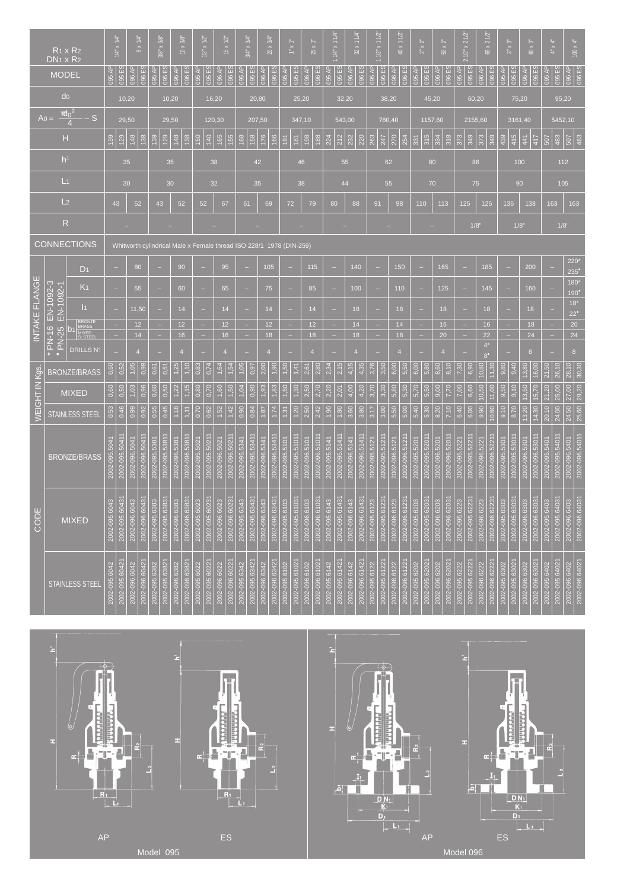| $R_1 \times R_2$<br>$DN_1 \times R_2$ |           |                                      | $1/4$ x $1/4$ |                | $8 \times 1/4$ |                                                                     | $3/8^* \times 3/8$ |                | $10 \times 3/8$ |                | $1/2" \times 1/2"$ |                | $15 \times 1/2$ |                | $3/4" \times 3/4"$ |                | $20 \times 3/4$ |                | $1.8\pm0.1$      |                 | $25 \times 1$ |                | $1/4"$ x 1 1/4 |                | $32 \times 11/4$ |                | $1/2$ " x 1 1/2 |                | $40 \times 112$ | $2^{\circ} \times 2^{\circ}$ |               | $50 \times 2$  |               | 2 1/2" x 2 1/2 |               |               | 65 x 2 1/2             |               | $3^{\circ} \times 3^{\circ}$ |                | 80 x 3        | $4^{\circ}\times4^{\circ}$ |               | $100 \times 4$ |                           |                |
|---------------------------------------|-----------|--------------------------------------|---------------|----------------|----------------|---------------------------------------------------------------------|--------------------|----------------|-----------------|----------------|--------------------|----------------|-----------------|----------------|--------------------|----------------|-----------------|----------------|------------------|-----------------|---------------|----------------|----------------|----------------|------------------|----------------|-----------------|----------------|-----------------|------------------------------|---------------|----------------|---------------|----------------|---------------|---------------|------------------------|---------------|------------------------------|----------------|---------------|----------------------------|---------------|----------------|---------------------------|----------------|
|                                       |           |                                      |               |                |                |                                                                     |                    |                |                 |                |                    |                |                 |                |                    |                |                 |                |                  |                 |               |                |                |                |                  |                |                 |                |                 |                              |               |                |               |                |               |               |                        |               |                              |                |               |                            |               |                |                           |                |
|                                       |           | <b>MODEL</b>                         | 095 AP        | <b>D95 ES</b>  | 196 AP         | <b>196 ES</b>                                                       | 095 AP             | 095 ES         | 096 AP          | 096 ES         | 095 AP             | 095 ES         | 096 AP          | 096 ES         | 095 AP             | 095 ES         | 096 AP          | 096 ES         | 195 AP           | <b>095 ES</b>   | 196 AP        | 096 ES         | 095 AP         | 095 ES         | 096 AP           | 096 ES         | 095 AP          | 095 ES         | 096 AP          | 096 ES                       | 095 AP        | 095 ES         | 096 AP        | <b>96 ES</b>   | 095 AP        | <b>D95 ES</b> | 096 AP                 | 096 ES        | 095 AP                       | 095 ES         | 096 AP        | 096 ES                     | 095 AP        | 095 ES         | 096 AP<br>096 ES          |                |
|                                       |           | do                                   |               | 10,20          |                |                                                                     |                    |                | 10,20           |                |                    | 16,20          |                 |                |                    |                | 20,80           |                |                  |                 | 25,20         |                |                |                | 32,20            |                |                 |                | 38,20           |                              |               | 45,20          |               |                |               | 60,20         |                        |               |                              |                | 75,20         |                            |               | 95,20          |                           |                |
|                                       | $A_0 =$   | $\frac{d_0^2}{4}$<br>$-S$            |               | 29,50          |                |                                                                     |                    |                | 29,50           |                |                    |                | 120,30          |                |                    |                | 207,50          |                |                  |                 | 347,10        |                |                |                | 543,00           |                |                 |                | 780,40          |                              |               | 1157,60        |               |                |               |               | 2155,60                |               |                              |                | 3161,40       |                            |               | 5452,10        |                           |                |
|                                       |           | н                                    | 139           | 129            | $\frac{48}{1}$ | 138                                                                 | 139                | 129            | 148             | 138            | 150                | 140            | 165             | 155            | 168                | 158            | 176             | 166            | $\overline{191}$ | $\frac{181}{2}$ | 198           | 188            | 224            | 212            | 232              | 220            | 263             | 247            | 270             | 254                          | 331           | 315            | 334           | 318            | 373           | 349           | 373                    | 349           | 439                          | 415            | 441           | 417                        | 507           | 483            | 507                       | 483            |
|                                       |           | h <sup>1</sup>                       |               | 35             |                |                                                                     |                    | 35             |                 |                |                    | 38             |                 |                |                    |                | 42              |                |                  |                 | 46            |                |                |                | 55               |                |                 |                | 62              |                              |               | 80             |               |                |               | 86            |                        |               |                              | 100            |               |                            |               | 112            |                           |                |
|                                       |           | L <sub>1</sub>                       |               | 30             |                |                                                                     |                    | 30             |                 |                |                    | 32             |                 |                |                    |                | 35              |                |                  |                 | 38            |                |                |                | 44               |                |                 |                | 55              |                              |               | 70             |               |                |               |               | 75                     |               |                              |                | 90            |                            |               | 105            |                           |                |
|                                       |           | L <sub>2</sub>                       |               |                |                |                                                                     |                    |                |                 |                |                    |                |                 |                |                    |                |                 |                |                  |                 |               |                |                |                |                  |                |                 |                |                 |                              |               |                |               |                |               |               |                        |               |                              |                |               |                            |               |                |                           |                |
|                                       |           |                                      | 43            |                |                | 52                                                                  |                    | 43             | 52              |                |                    | 52             | 67              |                |                    | 61             |                 | 69             |                  | 72              |               | 79             |                | 80             |                  | 88             |                 | 91             |                 | 98                           | 110           |                | 113           |                | 125           |               |                        | 125           |                              | 136            |               | 138                        |               | 163            | 163                       |                |
|                                       |           | $\mathsf{R}$                         |               |                |                |                                                                     |                    |                |                 |                |                    |                |                 |                |                    |                |                 |                |                  |                 |               |                |                |                |                  |                |                 |                |                 |                              |               |                |               |                |               | 1/8"          |                        |               |                              | 1/8"           |               |                            |               | 1/8"           |                           |                |
|                                       |           | CONNECTIONS                          |               |                |                | Whitworth cylindrical Male x Female thread ISO 228/1 1978 (DIN-259) |                    |                |                 |                |                    |                |                 |                |                    |                |                 |                |                  |                 |               |                |                |                |                  |                |                 |                |                 |                              |               |                |               |                |               |               |                        |               |                              |                |               |                            |               |                |                           |                |
| Ш                                     |           | $D_1$                                |               |                |                | 80                                                                  |                    |                |                 | 90             |                    |                | 95              |                |                    |                |                 | 105            |                  |                 |               | 115            |                |                |                  | 140            |                 |                |                 | 150                          |               |                | 165           |                |               |               |                        | 185           |                              |                |               | 200                        |               |                | 220'<br>$235^\circ$       |                |
| <b>FLANGE</b>                         |           | K <sub>1</sub>                       |               |                |                | 55                                                                  |                    |                |                 | 60             |                    |                | 65              |                |                    |                |                 | 75             |                  |                 |               | 85             |                |                |                  | 100            |                 |                |                 | 110                          |               |                | 125           |                |               |               |                        | 145           |                              |                |               | 160                        |               |                | $180*$<br>$190^{\bullet}$ |                |
|                                       | EN-1092-3 | EN-1092-1<br> 1                      |               |                |                | 11,50                                                               |                    |                |                 | 14             |                    |                | 14              |                |                    | ٠              |                 | 14             |                  |                 |               | 14             |                |                |                  | 18             |                 |                |                 | 18                           |               |                | 18            |                |               |               |                        | 18            | ٠                            |                |               | 18                         |               |                | $18*$<br>$22^{\circ}$     |                |
| <b>INTAKE</b>                         | $\circ$   | BRONZE<br>BRASS<br>MIXED<br>S: STEEL | ٠             |                |                | 12<br>14                                                            |                    |                |                 | 12<br>16       | ٠                  |                | 16              | 12             |                    | ÷              |                 | 12<br>18       |                  | ÷               |               | 12<br>18       |                | ٠              |                  | 14<br>18       |                 | ÷              |                 | 14<br>18                     | ٠             |                | 16<br>20      |                | ٠             |               | 22                     | 16            | ÷<br>٠                       |                |               | 18<br>24                   | H<br>÷        |                | $20\,$<br>24              |                |
|                                       | T-N-T     | <b>PN-25</b><br><b>DRILLS Nº</b>     |               |                | $\overline{4}$ |                                                                     |                    |                |                 | $\overline{4}$ |                    |                | $\overline{4}$  |                |                    |                |                 | $\overline{4}$ |                  |                 |               | $\overline{4}$ |                |                |                  | $\overline{4}$ |                 |                |                 |                              |               |                |               |                |               |               | $4^*$                  |               |                              |                |               | 8                          |               |                | $\bf{8}$                  |                |
|                                       |           | BRONZE/BRASS                         | 0,60          | 0,52           | 1,05           | 0,98                                                                | 0,61               | 0,51           | 1,25            | 1,10           | 0,83               | 0.74           | 1,64            | 1,54           | 1,05               | 0,97           | 2,00            | 1,90           | 1,50             | $\frac{41}{4}$  | 2,61          | 2.80           | 2,34           | 2,15           | 4,15             | 4.35           | 3.76            | 3,50           | 6,00            | 5,50                         | 6,00          | 5,80           | 8,60          | 8,10           | 7,30          | 6,90          | $8^{\bullet}$<br>10,80 | 11,30         | 9,80                         | 9,40           | 13,80         | 16,00                      | 21,50         | 26,10          | 28,10                     | 30,30          |
| WEIGHT IN Kgs                         |           |                                      | 0,60          | 0,50           | 1,03           | 0,96                                                                | 0,60               | 0,50           | 1,22            | 1,15           | 0,80               | 0,70           | 1,60            | 1,50           | 1,04               | 0,90           | 1,93            | 1,83           | 1,50             | 1,30            | 2,50          | 2,70           | 2,20           | 2,01           | 4,00             | 4,20           | 3,70            | 3,30           | 5,80            | 5,30                         | 5,70          | 5,50           | 9,00          | 7,70           | 7,00          | 6,60          |                        | 11,00         | 9,50                         | 9,10           | 13,50         | 15,70                      |               |                |                           | 29,20          |
|                                       |           | <b>MIXED</b>                         |               |                |                |                                                                     |                    |                |                 |                |                    |                |                 |                |                    |                |                 |                |                  |                 |               |                |                |                |                  |                |                 |                |                 |                              |               |                |               |                |               |               | 10,50                  |               |                              |                |               |                            | 21,20         | 25,00          | 27,00                     |                |
|                                       |           | STAINLESS STEE                       | 0,53          | 0,46           | 0,99           | 0,92                                                                | 0,55               | 0,45           | 1,18            | 1,11           | 0,70               | 0,62           | 1,52            | 1,42           | 0,90               | 0,84           | 1,87            | 1,74           | 1,31             | 1,20            | 2,50          | 2,42           | 1,90           | 1,80           | 3,60             | 3,80           | 3,17            | 3,00           | 5,50            | 5,00                         | 5,40          | 5,30           | 8,20          | 7,10           | 6,40          | 6,00          | 9,90                   | 10,60         | 9,10                         | 8,70           | 13,20         | 14,30                      | 20,10         | 24,00          | 24,50                     | 25,60          |
|                                       |           |                                      |               |                |                |                                                                     |                    |                |                 |                |                    |                |                 |                |                    |                |                 |                |                  |                 |               |                |                |                |                  |                |                 |                |                 |                              |               |                |               |                |               |               |                        |               |                              |                |               |                            |               |                |                           |                |
|                                       |           | <b>BRONZE/BRASS</b>                  | 2-095.        | 2002-095.50411 | 2002-096.504   | 2002-096.5041                                                       | 2002-095.538       | 2002-095.5381  | 2002-096.538    | 2002-096.5381  | 2002-095.502       | 2002-095.5021  | 2002-096.502    | 2002-096.5021  | 2002-095.534       | 2002-095.5341  | 2002-096.534    | 2002-096.534   | 2002-095.5101    | 2002-095.5101   | 2002-096.5101 | 2002-096.5101  | 2002-095.5141  | 2002-095.5141  | 2002-096.5141    | 2002-096.5141  | 2002-095.512    | 2002-095.5121  | 2002-096.512    | 2002-096.5121                | 2002-095.520  | 2002-095.520   | 2002-096.520  | 2002-096.5201  | 2002-095.522  | 2002-095.5221 | 2002-096.522           | 2002-096.5221 | 2002-095.530                 | 2002-095.5301  | 2002-096.5301 | 2002-096.5301              | 2002-095.540  | 2002-095.54011 | 2002-096.5401             | 2002-096.5401  |
|                                       |           |                                      | 200           |                |                |                                                                     |                    |                |                 |                |                    |                |                 |                |                    |                |                 |                |                  |                 |               |                |                |                |                  |                |                 |                |                 |                              |               |                |               |                |               |               |                        |               |                              |                |               |                            |               |                |                           |                |
|                                       |           |                                      |               |                |                |                                                                     |                    |                |                 |                |                    |                |                 |                |                    |                |                 |                |                  |                 |               |                |                |                |                  |                |                 |                |                 |                              |               |                |               |                |               |               |                        |               |                              |                |               |                            |               |                |                           |                |
| CODE                                  |           | <b>MIXED</b>                         | 2002-095.6043 | 2002-095.60431 | 2002-096.6043  | 2002-096.6043                                                       | 2002-095.6383      | 2002-095.6383  | 2002-096.6383   | 2002-096.6383  | 2002-095.6023      | 2002-095.6023  | 2002-096.6023   | 2002-096.6023  | 2002-095.6343      | 2002-095.6343  | 2002-096.6343   | 2002-096.6343  | 2002-095.6103    | 2002-095.6103   | 2002-096.6103 | 2002-096.6103  | 2002-095.6143  | 2002-095.61431 | 2002-096.6143    | 2002-096.61431 | 2002-095.6123   | 2002-095.6123  | 2002-096.6123   | 2002-096.6123                | 2002-095.6203 | 2002-095.6203  | 2002-096.6203 | 2002-096.6203  | 2002-095.6223 | 2002-095.6223 | 2002-096.6223          | 2002-096.6223 | 2002-095.6303                | 2002-095.6303  | 2002-096.6303 | 2002-096.6303              | 2002-095.6403 | 2002-095.6403  | 2002-096.6403             |                |
|                                       |           |                                      |               |                |                |                                                                     |                    |                |                 |                |                    |                |                 |                |                    |                |                 |                |                  |                 |               |                |                |                |                  |                |                 |                |                 |                              |               |                |               |                |               |               |                        |               |                              |                |               |                            |               |                |                           | 2002-096.64031 |
|                                       |           |                                      |               |                |                |                                                                     |                    |                |                 |                |                    |                |                 |                |                    |                |                 |                |                  |                 |               |                |                |                |                  |                |                 |                |                 |                              |               |                |               |                |               |               |                        |               |                              |                |               |                            |               |                |                           |                |
|                                       |           | <b>STAINLESS STEEL</b>               | 2002-095.6042 | 2002-095.60421 | 2002-096.6042  | 2002-096.60421                                                      | 2002-095.6382      | 2002-095.63821 | 2002-096.6382   | 2002-096.63821 | 2002-095.6022      | 2002-095.60221 | 2002-096.6022   | 2002-096.60221 | 2002-095.6342      | 2002-095.63421 | 2002-096.6342   | 2002-096.63421 | 2002-095.6102    | 2002-095.61021  | 2002-096.6102 | 2002-096.61021 | 2002-095.6142  | 2002-095.61421 | 2002-096.6142    | 2002-096.61421 | 2002-095.6122   | 2002-095.61221 | 2002-096.6122   | 2002-096.61221               | 2002-095.6202 | 2002-095.62021 | 2002-096.6202 | 2002-096.62021 | 2002-095.6222 | 2002-095.6222 | 2002-096.6222          | 2002-096.6222 | 2002-095.6302                | 2002-095.63021 | 2002-096.6302 | 2002-096.63021             | 2002-095.6402 | 2002-095.64021 | 2002-096.6402             | 2002-096.64021 |
|                                       |           |                                      |               |                |                |                                                                     |                    |                |                 |                |                    |                |                 |                |                    |                |                 |                |                  |                 |               |                |                |                |                  |                |                 |                |                 |                              |               |                |               |                |               |               |                        |               |                              |                |               |                            |               |                |                           |                |
|                                       |           |                                      |               |                |                |                                                                     |                    |                |                 |                |                    |                |                 |                |                    |                |                 |                |                  |                 |               |                |                |                |                  |                |                 |                |                 |                              |               |                |               |                |               |               |                        |               |                              |                |               |                            |               |                |                           |                |







Model 095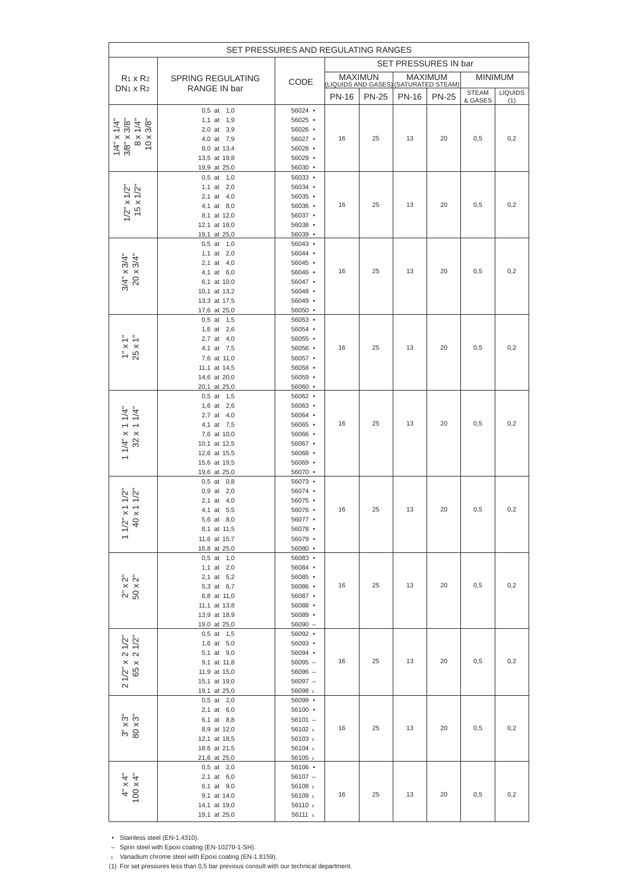|                                      |                                | SET PRESSURES AND REGULATING RANGES  |                |                     |              |                      |                         |                       |
|--------------------------------------|--------------------------------|--------------------------------------|----------------|---------------------|--------------|----------------------|-------------------------|-----------------------|
|                                      |                                |                                      |                |                     |              | SET PRESSURES IN bar |                         |                       |
| $R_1 \times R_2$                     | <b>SPRING REGULATING</b>       |                                      | <b>MAXIMUN</b> |                     |              | MAXIMUM              |                         | <b>MINIMUM</b>        |
| $DN1 \times R2$                      | RANGE IN bar                   | CODE                                 |                | (LIQUIDS AND GASES) |              | (SATURATED STEAM)    |                         |                       |
|                                      |                                |                                      | <b>PN-16</b>   | <b>PN-25</b>        | <b>PN-16</b> | <b>PN-25</b>         | <b>STEAM</b><br>& GASES | <b>LIQUIDS</b><br>(1) |
|                                      | $0,5$ at $1,0$                 | $56024$ •                            |                |                     |              |                      |                         |                       |
|                                      | 1,1 at $1,9$                   | $56025$ •                            |                |                     |              |                      |                         |                       |
| $x 1/4"$<br>$x 3/8"$<br>x3/8"        | 2,0 at 3,9                     | $56026$ •                            |                |                     |              |                      |                         |                       |
| $\infty$                             | 4,0 at 7,9                     | $56027$ $\cdot$                      | 16             | 25                  | 13           | 20                   | 0,5                     | 0,2                   |
| $1/4$ " x $1/4$ "<br>3/8" x 3/8"     | 8,0 at 13,4                    | $56028$ •                            |                |                     |              |                      |                         |                       |
|                                      | 13,5 at 19,8<br>19,9 at 25,0   | $56029$ •<br>$56030$ $\cdot$         |                |                     |              |                      |                         |                       |
|                                      | $0,5$ at $1,0$                 | $56033$ $\cdot$                      |                |                     |              |                      |                         |                       |
|                                      | 1,1 at $2,0$                   | $56034$ •                            |                |                     |              |                      |                         |                       |
| $1/2$ " x $1/2$ "<br>15 x $1/2$ "    | 2,1 at 4,0                     | $56035$ •                            |                |                     |              |                      |                         |                       |
|                                      | 4,1 at 8,0                     | $56036$ $\cdot$                      | 16             | 25                  | 13           | 20                   | 0,5                     | 0,2                   |
|                                      | 8,1 at 12,0                    | $56037$ $\cdot$                      |                |                     |              |                      |                         |                       |
|                                      | 12,1 at 19,0                   | $56038$ •                            |                |                     |              |                      |                         |                       |
|                                      | 19,1 at 25,0<br>$0,5$ at $1,0$ | $56039$ $\bullet$<br>$56043$ •       |                |                     |              |                      |                         |                       |
|                                      | 1,1 at $2,0$                   | $56044$ •                            |                |                     |              |                      |                         |                       |
| $3/4$ " x $3/4$ "<br>20 x $3/4$ "    | 2,1 at 4,0                     | $56045$ •                            |                |                     |              |                      |                         |                       |
|                                      | 4,1 at 6,0                     | 56046 •                              | 16             | 25                  | 13           | 20                   | 0,5                     | 0,2                   |
|                                      | 6,1 at 10,0                    | $56047$ •                            |                |                     |              |                      |                         |                       |
|                                      | 10,1 at 13,2                   | $56048$ •                            |                |                     |              |                      |                         |                       |
|                                      | 13,3 at 17,5                   | $56049$ •                            |                |                     |              |                      |                         |                       |
|                                      | 17,6 at 25,0<br>$0,5$ at $1,5$ | $56050$ $\bullet$<br>$56053$ $\cdot$ |                |                     |              |                      |                         |                       |
|                                      | 1,6 at 2,6                     | $56054$ •                            |                |                     |              |                      |                         |                       |
|                                      | 2,7 at 4,0                     | $56055$ •                            |                |                     |              |                      |                         |                       |
| $1" \times 1"$<br>25 x 1"            | 4,1 at 7,5                     | $56056$ •                            | 16             | 25                  | 13           | 20                   | 0,5                     | 0,2                   |
|                                      | 7,6 at 11,0                    | $56057$ •                            |                |                     |              |                      |                         |                       |
|                                      | 11,1 at 14,5                   | $56058$ •                            |                |                     |              |                      |                         |                       |
|                                      | 14,6 at 20,0                   | $56059$ •                            |                |                     |              |                      |                         |                       |
|                                      | 20,1 at 25,0<br>$0,5$ at $1,5$ | $56060$ $\bullet$<br>$56062$ •       |                |                     |              |                      |                         |                       |
|                                      | 1,6 at 2,6                     | $56063$ •                            |                |                     |              |                      |                         |                       |
| $\frac{1}{4}$                        | 2,7 at 4,0                     | $56064$ •                            |                |                     |              |                      |                         |                       |
|                                      | 4,1 at 7,5                     | $56065$ •                            | 16             | 25                  | 13           | 20                   | 0,5                     | 0,2                   |
|                                      | 7,6 at 10,0                    | 56066 •                              |                |                     |              |                      |                         |                       |
|                                      | 10,1 at 12,5                   | $56067$ •                            |                |                     |              |                      |                         |                       |
| $\frac{11}{4}$<br>$\frac{1}{32}$ x   | 12,6 at 15,5<br>15,6 at 19,5   | $56068$ •                            |                |                     |              |                      |                         |                       |
|                                      | 19,6 at 25,0                   | $56069$ •<br>56070 •                 |                |                     |              |                      |                         |                       |
|                                      | $0,5$ at $0,8$                 | $56073$ •                            |                |                     |              |                      |                         |                       |
|                                      | $0,9$ at $2,0$                 | $56074$ •                            |                |                     |              |                      |                         |                       |
| $x$ 11/2"<br>$x$ 11/2"               | 2,1 at 4,0                     | $56075$ •                            |                |                     |              |                      |                         |                       |
|                                      | 4,1 at 5,5                     | 56076 •                              | 16             | 25                  | 13           | 20                   | 0,5                     | 0,2                   |
|                                      | 5,6 at 8,0                     | 56077 •                              |                |                     |              |                      |                         |                       |
| $11/2$ "<br>40                       | 8,1 at 11,5<br>11,6 at 15,7    | 56078 •<br>56079 •                   |                |                     |              |                      |                         |                       |
|                                      | 15,8 at 25,0                   | 56080 •                              |                |                     |              |                      |                         |                       |
|                                      | $0,5$ at $1,0$                 | $56083$ $\cdot$                      |                |                     |              |                      |                         |                       |
|                                      | 1,1 at 2,0                     | 56084 •                              |                |                     |              |                      |                         |                       |
| $2" \times 2"$<br>50 $\times 2"$     | 2,1 at 5,2                     | 56085 •                              |                |                     |              |                      |                         |                       |
|                                      | 5,3 at 6,7                     | 56086 •                              | 16             | 25                  | 13           | 20                   | 0,5                     | 0,2                   |
|                                      | 6,8 at 11,0<br>11,1 at 13,8    | 56087 •<br>56088 •                   |                |                     |              |                      |                         |                       |
|                                      | 13,9 at 18,9                   | 56089 •                              |                |                     |              |                      |                         |                       |
|                                      | 19,0 at 25,0                   | 56090 -                              |                |                     |              |                      |                         |                       |
|                                      | $0,5$ at $1,5$                 | 56092 •                              |                |                     |              |                      |                         |                       |
| $\frac{1}{2}$ $\frac{5}{2}$          | 1,6 at 5,0                     | 56093 •                              |                |                     |              |                      |                         |                       |
| $\sim \infty$                        | 5,1 at 9,0                     | 56094 •                              | 16             | 25                  | 13           | 20                   | 0,5                     | 0,2                   |
| $\times$ $\times$                    | 9,1 at 11,8<br>11,9 at 15,0    | 56095 -<br>56096 -                   |                |                     |              |                      |                         |                       |
| $1/2$ "<br>65                        | 15,1 at 19,0                   | 56097 -                              |                |                     |              |                      |                         |                       |
| $\sim$                               | 19,1 at 25,0                   | 56098 s                              |                |                     |              |                      |                         |                       |
|                                      | $0,5$ at $2,0$                 | $56099$ •                            |                |                     |              |                      |                         |                       |
|                                      | 2,1 at 6,0                     | 56100 •                              |                |                     |              |                      |                         |                       |
| က် ကိ                                | 6,1 at 8,8                     | $56101 -$                            |                |                     |              |                      |                         |                       |
| $3^{11} \times 3$                    | 8,9 at 12,0                    | 56102 s                              | 16             | 25                  | 13           | 20                   | 0,5                     | 0,2                   |
|                                      | 12,1 at 18,5<br>18,6 at 21,5   | 56103 s<br>56104 s                   |                |                     |              |                      |                         |                       |
|                                      | 21,6 at 25,0                   | 56105 s                              |                |                     |              |                      |                         |                       |
|                                      | $0,5$ at $2,0$                 | $56106$ •                            |                |                     |              |                      |                         |                       |
|                                      | 2,1 at 6,0                     | $56107 -$                            |                |                     |              |                      |                         |                       |
| $4'' \times 4''$<br>100 $\times 4''$ | 6,1 at 9,0                     | 56108 s                              |                |                     |              |                      |                         |                       |
|                                      | 9,1 at 14,0                    | 56109 s                              | 16             | 25                  | 13           | 20                   | 0,5                     | 0,2                   |
|                                      | 14,1 at 19,0                   | 56110 s                              |                |                     |              |                      |                         |                       |
|                                      | 19,1 at 25,0                   | 56111 s                              |                |                     |              |                      |                         |                       |

• Stainless steel (EN-1.4310).

– Sprin steel with Epoxi coating (EN-10270-1-SH).

Vanadium chrome steel with Epoxi coating (EN-1.8159).

(1) For set pressures less than 0,5 bar previous consult with our technical department.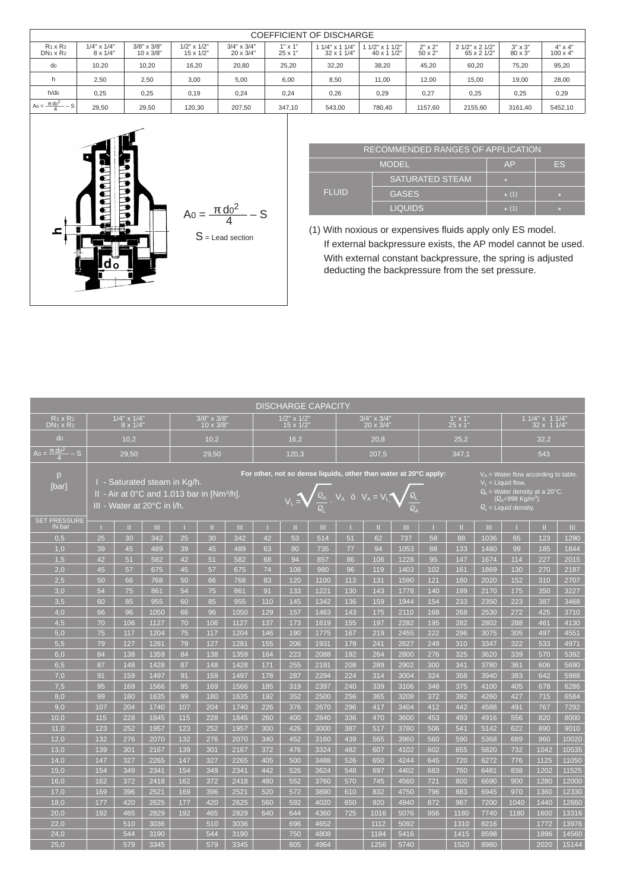|                                         | <b>COEFFICIENT OF DISCHARGE</b>        |                                        |                                        |                                        |                                  |                                   |                                    |                                  |                                |                                  |                                   |  |  |  |  |
|-----------------------------------------|----------------------------------------|----------------------------------------|----------------------------------------|----------------------------------------|----------------------------------|-----------------------------------|------------------------------------|----------------------------------|--------------------------------|----------------------------------|-----------------------------------|--|--|--|--|
| $R_1 \times R_2$<br>$DN_1 \times R_2$   | $1/4" \times 1/4"$<br>$8 \times 1/4$ " | $3/8" \times 3/8"$<br>$10 \times 3/8"$ | $1/2$ " x $1/2$ "<br>$15 \times 1/2$ " | $3/4" \times 3/4"$<br>$20 \times 3/4"$ | $1" \times 1"$<br>$25 \times 1'$ | $11/4"$ x 1 $1/4"$<br>32 x 1 1/4" | $1/2$ " x 1 $1/2$ "<br>40 x 1 1/2" | $2" \times 2"$<br>$50 \times 2"$ | 2 1/2" x 2 1/2"<br>65 x 2 1/2" | $3" \times 3"$<br>$80 \times 3"$ | $4" \times 4"$<br>$100 \times 4"$ |  |  |  |  |
| do                                      | 10,20                                  | 10.20                                  | 16,20                                  | 20,80                                  | 25,20                            | 32,20                             | 38.20                              | 45.20                            | 60.20                          | 75,20                            | 95,20                             |  |  |  |  |
| h                                       | 2,50                                   | 2,50                                   | 3,00                                   | 5,00                                   | 6,00                             | 8,50                              | 11.00                              | 12.00                            | 15,00                          | 19,00                            | 28,00                             |  |  |  |  |
| $h$ /do                                 | 0,25                                   | 0,25                                   | 0,19                                   | 0,24                                   | 0,24                             | 0,26                              | 0,29                               | 0,27                             | 0,25                           | 0,25                             | 0,29                              |  |  |  |  |
| A <sub>0</sub> = $\frac{d^{02}}{4}$ – S | 29,50                                  | 29,50                                  | 120,30                                 | 207.50                                 | 347.10                           | 543,00                            | 780.40                             | 1157.60                          | 2155.60                        | 3161.40                          | 5452,10                           |  |  |  |  |

I



|              | RECOMMENDED RANGES OF APPLICATION |           |           |
|--------------|-----------------------------------|-----------|-----------|
|              | <b>MODEL</b>                      | AP        | <b>FS</b> |
|              | <b>SATURATED STEAM</b>            | <b>SE</b> |           |
| <b>FLUID</b> | <b>GASES</b>                      | $* (1)$   | P.        |
|              | <b>LIQUIDS</b>                    | $*$ (1)   | P.        |

(1) With noxious or expensives fluids apply only ES model. If external backpressure exists, the AP model cannot be used. With external constant backpressure, the spring is adjusted deducting the backpressure from the set pressure.

| <b>DISCHARGE CAPACITY</b>           |     |                                        |                                                                                                         |     |                                        |      |     |                                      |      |     |                                                                                                                                                 |      |     |                                 |      |                                                                                                 |                                                                            |       |
|-------------------------------------|-----|----------------------------------------|---------------------------------------------------------------------------------------------------------|-----|----------------------------------------|------|-----|--------------------------------------|------|-----|-------------------------------------------------------------------------------------------------------------------------------------------------|------|-----|---------------------------------|------|-------------------------------------------------------------------------------------------------|----------------------------------------------------------------------------|-------|
| $R_1 \times R_2$<br>$DN1 \times R2$ |     | $1/4" \times 1/4"$<br>$8 \times 1/4$ " |                                                                                                         |     | $3/8" \times 3/8"$<br>$10 \times 3/8'$ |      |     | $1/2"$ x $1/2"$<br>$15 \times 1/2$ " |      |     | $\sqrt{3}/4$ " x $\sqrt{3}/4$ "<br>20 x 3/4"                                                                                                    |      |     | $1" \times 1"$<br>$25 \times 1$ |      |                                                                                                 | 1 1/4" x 1 1/4"<br>32 x 1 1/4"                                             |       |
| d <sub>0</sub>                      |     | 10.2                                   |                                                                                                         |     | 10.2                                   |      |     | 16.2                                 |      |     | 20.8                                                                                                                                            |      |     | 25.2                            |      |                                                                                                 | 32.2                                                                       |       |
| $A_0 = \frac{d_0^2}{4} - S$         |     | 29.50                                  |                                                                                                         |     | 29,50                                  |      |     | 120.3                                |      |     | 207.5                                                                                                                                           |      |     | 347.1                           |      |                                                                                                 | 543                                                                        |       |
| p<br>[bar]<br><b>SET PRESSURE</b>   |     |                                        | I - Saturated steam in Kg/h.<br>II - Air at 0°C and 1,013 bar in [Nm3/h]<br>III - Water at 20°C in I/h. |     |                                        |      |     |                                      |      |     | For other, not so dense liquids, other than water at 20°C apply:<br>$V_L = \sqrt{\frac{Q_A}{Q_A}}$ . $V_A$ ó $V_A = V_L \sqrt{\frac{Q_L}{Q_A}}$ |      |     |                                 |      | $V_1$ = Liquid flow.<br><u>(Q<sub>∆=</sub>998 Kg/m<sup>3</sup>).</u><br>$Q_i$ = Liquid density. | $V_A$ = Water flow according to table.<br>$Q_4$ = Water density at a 20°C. |       |
| IN bar                              |     | m                                      | Ш.                                                                                                      |     | Ш                                      | m    |     | Ш                                    | Ш    |     | H.                                                                                                                                              | m.   |     | Ш                               | Ш    |                                                                                                 | Ш                                                                          | m.    |
| 0,5                                 | 25  | 30                                     | 342                                                                                                     | 25  | 30                                     | 342  | 42  | 53                                   | 514  | 51  | 62                                                                                                                                              | 737  | 58  | 88                              | 1036 | 65                                                                                              | 123                                                                        | 1290  |
| 1,0                                 | 39  | 45                                     | 489                                                                                                     | 39  | 45                                     | 489  | 63  | 80                                   | 735  | 77  | 94                                                                                                                                              | 1053 | 88  | 133                             | 1480 | 99                                                                                              | 185                                                                        | 1844  |
| 1,5                                 | 42  | 51                                     | 582                                                                                                     | 42  | 51                                     | 582  | 68  | 94                                   | 857  | 86  | 106                                                                                                                                             | 1228 | 95  | 147                             | 1674 | 114                                                                                             | 227                                                                        | 2015  |
| 2,0                                 | 45  | 57                                     | 675                                                                                                     | 45  | 57                                     | 675  | 74  | 108                                  | 980  | 96  | 119                                                                                                                                             | 1403 | 102 | 161                             | 1869 | 130                                                                                             | 270                                                                        | 2187  |
| 2,5                                 | 50  | 66                                     | 768                                                                                                     | 50  | 66                                     | 768  | 83  | 120                                  | 1100 | 113 | 131                                                                                                                                             | 1590 | 121 | 180                             | 2020 | 152                                                                                             | 310                                                                        | 2707  |
| 3,0                                 | 54  | 75                                     | 861                                                                                                     | 54  | 75                                     | 861  | 91  | 133                                  | 1221 | 130 | 143                                                                                                                                             | 1778 | 140 | 199                             | 2170 | 175                                                                                             | 350                                                                        | 3227  |
| 3,5                                 | 60  | 85                                     | 955                                                                                                     | 60  | 85                                     | 955  | 110 | 145                                  | 1342 | 136 | 159                                                                                                                                             | 1944 | 154 | 233                             | 2350 | 223                                                                                             | 387                                                                        | 3468  |
| 4.0                                 | 66  | 96                                     | 1050                                                                                                    | 66  | 96                                     | 1050 | 129 | 157                                  | 1463 | 143 | 175                                                                                                                                             | 2110 | 168 | 268                             | 2530 | 272                                                                                             | 425                                                                        | 3710  |
| 4,5                                 | 70  | 106                                    | 1127                                                                                                    | 70  | 106                                    | 1127 | 137 | 173                                  | 1619 | 155 | 197                                                                                                                                             | 2282 | 195 | 282                             | 2802 | 288                                                                                             | 461                                                                        | 4130  |
| 5,0                                 | 75  | 117                                    | 1204                                                                                                    | 75  | 117                                    | 1204 | 146 | 190                                  | 1775 | 167 | 219                                                                                                                                             | 2455 | 222 | 296                             | 3075 | 305                                                                                             | 497                                                                        | 4551  |
| 5.5                                 | 79  | 127                                    | 1281                                                                                                    | 79  | 127                                    | 1281 | 155 | 206                                  | 1931 | 179 | 241                                                                                                                                             | 2627 | 249 | 310                             | 3347 | 322                                                                                             | 533                                                                        | 4971  |
| 6.0                                 | 84  | 138                                    | 1359                                                                                                    | 84  | 138                                    | 1359 | 164 | 223                                  | 2088 | 192 | 264                                                                                                                                             | 2800 | 276 | 325                             | 3620 | 339                                                                                             | 570                                                                        | 5392  |
| 6,5                                 | 87  | 148                                    | 1428                                                                                                    | 87  | 148                                    | 1428 | 171 | 255                                  | 2191 | 208 | 289                                                                                                                                             | 2902 | 300 | 341                             | 3780 | 361                                                                                             | 606                                                                        | 5690  |
| 7,0                                 | 91  | 159                                    | 1497                                                                                                    | 91  | 159                                    | 1497 | 178 | 287                                  | 2294 | 224 | 314                                                                                                                                             | 3004 | 324 | 358                             | 3940 | 383                                                                                             | 642                                                                        | 5988  |
| 7,5                                 | 95  | 169                                    | 1566                                                                                                    | 95  | 169                                    | 1566 | 185 | 319                                  | 2397 | 240 | 339                                                                                                                                             | 3106 | 348 | 375                             | 4100 | 405                                                                                             | 678                                                                        | 6286  |
| 8,0                                 | 99  | 180                                    | 1635                                                                                                    | 99  | 180                                    | 1635 | 192 | 352                                  | 2500 | 256 | 365                                                                                                                                             | 3208 | 372 | 392                             | 4260 | 427                                                                                             | 715                                                                        | 6584  |
| 9,0                                 | 107 | 204                                    | 1740                                                                                                    | 107 | 204                                    | 1740 | 226 | 376                                  | 2670 | 296 | 417                                                                                                                                             | 3404 | 412 | 442                             | 4588 | 491                                                                                             | 767                                                                        | 7292  |
| 10,0                                | 115 | 228                                    | 1845                                                                                                    | 115 | 228                                    | 1845 | 260 | 400                                  | 2840 | 336 | 470                                                                                                                                             | 3600 | 453 | 493                             | 4916 | 556                                                                                             | 820                                                                        | 8000  |
| 11,0                                | 123 | 252                                    | 1957                                                                                                    | 123 | 252                                    | 1957 | 300 | 426                                  | 3000 | 387 | 517                                                                                                                                             | 3780 | 506 | 541                             | 5142 | 622                                                                                             | 890                                                                        | 9010  |
| 12,0                                | 132 | 276                                    | 2070                                                                                                    | 132 | 276                                    | 2070 | 340 | 452                                  | 3160 | 439 | 565                                                                                                                                             | 3960 | 560 | 590                             | 5368 | 689                                                                                             | 960                                                                        | 10020 |
| 13.0                                | 139 | 301                                    | 2167                                                                                                    | 139 | 301                                    | 2167 | 372 | 476                                  | 3324 | 482 | 607                                                                                                                                             | 4102 | 602 | 655                             | 5820 | 732                                                                                             | 1042                                                                       | 10535 |
| 14,0                                | 147 | 327                                    | 2265                                                                                                    | 147 | 327                                    | 2265 | 405 | 500                                  | 3488 | 526 | 650                                                                                                                                             | 4244 | 645 | 720                             | 6272 | 776                                                                                             | 1125                                                                       | 11050 |
| 15,0                                | 154 | 349                                    | 2341                                                                                                    | 154 | 349                                    | 2341 | 442 | 526                                  | 3624 | 548 | 697                                                                                                                                             | 4402 | 683 | 760                             | 6481 | 838                                                                                             | 1202                                                                       | 11525 |
| 16.0                                | 162 | 372                                    | 2418                                                                                                    | 162 | 372                                    | 2418 | 480 | 552                                  | 3760 | 570 | 745                                                                                                                                             | 4560 | 721 | 800                             | 6690 | 900                                                                                             | 1280                                                                       | 12000 |
| 17,0                                | 169 | 396                                    | 2521                                                                                                    | 169 | 396                                    | 2521 | 520 | 572                                  | 3890 | 610 | 832                                                                                                                                             | 4750 | 796 | 883                             | 6945 | 970                                                                                             | 1360                                                                       | 12330 |
| 18,0                                | 177 | 420                                    | 2625                                                                                                    | 177 | 420                                    | 2625 | 560 | 592                                  | 4020 | 650 | 920                                                                                                                                             | 4940 | 872 | 967                             | 7200 | 1040                                                                                            | 1440                                                                       | 12660 |
| 20,0                                | 192 | 465                                    | 2829                                                                                                    | 192 | 465                                    | 2829 | 640 | 644                                  | 4360 | 725 | 1016                                                                                                                                            | 5076 | 956 | 1180                            | 7740 | 1180                                                                                            | 1600                                                                       | 13316 |
| 22.0                                |     | 510                                    | 3036                                                                                                    |     | 510                                    | 3036 |     | 696                                  | 4652 |     | 1112                                                                                                                                            | 5092 |     | 1310                            | 8216 |                                                                                                 | 1772                                                                       | 13976 |
| 24,0                                |     | 544                                    | 3190                                                                                                    |     | 544                                    | 3190 |     | 750                                  | 4808 |     | 1184                                                                                                                                            | 5416 |     | 1415                            | 8598 |                                                                                                 | 1896                                                                       | 14560 |
| 25.0                                |     | 579                                    | 3345                                                                                                    |     | 579                                    | 3345 |     | 805                                  | 4964 |     | 1256                                                                                                                                            | 5740 |     | 1520                            | 8980 |                                                                                                 | 2020                                                                       | 15144 |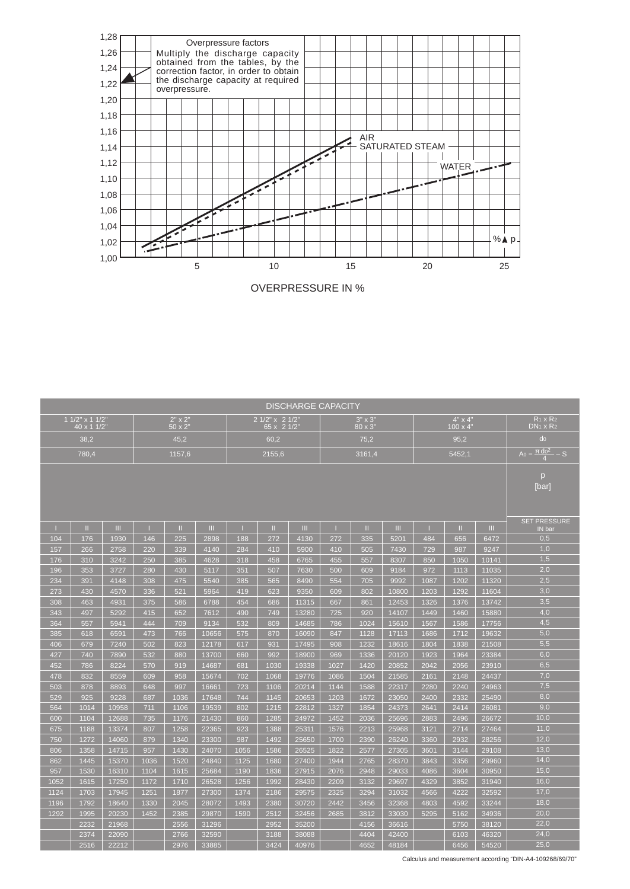

OVERPRESSURE IN %

|      | <b>DISCHARGE CAPACITY</b><br>R <sub>1</sub> x R <sub>2</sub><br>1 1/2" x 1 1/2"<br>$2" \times 2"$<br>2 1/2" x 2 1/2"<br>$4" \times 4"$<br>$3" \times 3"$ |       |      |               |       |      |             |       |      |         |       |      |                   |       |                                              |
|------|----------------------------------------------------------------------------------------------------------------------------------------------------------|-------|------|---------------|-------|------|-------------|-------|------|---------|-------|------|-------------------|-------|----------------------------------------------|
|      | 40 x 1 1/2"                                                                                                                                              |       |      | $50 \times 2$ |       |      | 65 x 2 1/2" |       |      | 80 x 3" |       |      | $100 \times 4$ "  |       | $DN1 \times R2$                              |
|      | 38,2                                                                                                                                                     |       |      | 45.2          |       |      | 60.2        |       |      | 75,2    |       |      | 95.2              |       | d <sub>0</sub>                               |
|      | 780,4                                                                                                                                                    |       |      | 1157,6        |       |      | 2155,6      |       |      | 3161,4  |       |      | 5452,1            |       | $A_0 = \frac{d_0^2}{4} - S$                  |
|      |                                                                                                                                                          |       |      |               |       |      |             |       |      |         |       |      |                   |       |                                              |
|      |                                                                                                                                                          |       |      |               |       |      |             |       |      |         |       |      |                   |       | <sub>D</sub><br>[bar]<br><b>SET PRESSURE</b> |
|      | Ш                                                                                                                                                        | Ш     |      | Ш             | Ш     |      | Ш           | Ш     |      | m       | Ш     |      | Ш                 | Ш     | IN bar                                       |
| 104  | 176                                                                                                                                                      | 1930  | 146  | 225           | 2898  | 188  | 272         | 4130  | 272  | 335     | 5201  | 484  | 656               | 6472  | 0,5                                          |
| 157  | 266                                                                                                                                                      | 2758  | 220  | 339           | 4140  | 284  | 410         | 5900  | 410  | 505     | 7430  | 729  | 987               | 9247  | 1,0                                          |
| 176  | 310                                                                                                                                                      | 3242  | 250  | 385           | 4628  | 318  | 458         | 6765  | 455  | 557     | 8307  | 850  | 1050              | 10141 | 1,5                                          |
| 196  | 353                                                                                                                                                      | 3727  | 280  | 430           | 5117  | 351  | 507         | 7630  | 500  | 609     | 9184  | 972  | 1113              | 11035 | 2,0                                          |
| 234  | 391                                                                                                                                                      | 4148  | 308  | 475           | 5540  | 385  | 565         | 8490  | 554  | 705     | 9992  | 1087 | 1202              | 11320 | 2,5                                          |
| 273  | 430                                                                                                                                                      | 4570  | 336  | 521           | 5964  | 419  | 623         | 9350  | 609  | 802     | 10800 | 1203 | 1292              | 11604 | 3,0                                          |
| 308  | 463                                                                                                                                                      | 4931  | 375  | 586           | 6788  | 454  | 686         | 11315 | 667  | 861     | 12453 | 1326 | 1376              | 13742 | 3,5                                          |
| 343  | 497                                                                                                                                                      | 5292  | 415  | 652           | 7612  | 490  | 749         | 13280 | 725  | 920     | 14107 | 1449 | 1460              | 15880 | 4,0                                          |
| 364  | 557                                                                                                                                                      | 5941  | 444  | 709           | 9134  | 532  | 809         | 14685 | 786  | 1024    | 15610 | 1567 | 1586              | 17756 | 4,5                                          |
| 385  | 618                                                                                                                                                      | 6591  | 473  | 766           | 10656 | 575  | 870         | 16090 | 847  | 1128    | 17113 | 1686 | $\overline{1712}$ | 19632 | 5,0                                          |
| 406  | 679                                                                                                                                                      | 7240  | 502  | 823           | 12178 | 617  | 931         | 17495 | 908  | 1232    | 18616 | 1804 | 1838              | 21508 | $\overline{5,5}$                             |
| 427  | 740                                                                                                                                                      | 7890  | 532  | 880           | 13700 | 660  | 992         | 18900 | 969  | 1336    | 20120 | 1923 | 1964              | 23384 | 6,0                                          |
| 452  | 786                                                                                                                                                      | 8224  | 570  | 919           | 14687 | 681  | 1030        | 19338 | 1027 | 1420    | 20852 | 2042 | 2056              | 23910 | 6,5                                          |
| 478  | 832                                                                                                                                                      | 8559  | 609  | 958           | 15674 | 702  | 1068        | 19776 | 1086 | 1504    | 21585 | 2161 | 2148              | 24437 | 7,0                                          |
| 503  | 878                                                                                                                                                      | 8893  | 648  | 997           | 16661 | 723  | 1106        | 20214 | 1144 | 1588    | 22317 | 2280 | 2240              | 24963 | 7,5                                          |
| 529  | 925                                                                                                                                                      | 9228  | 687  | 1036          | 17648 | 744  | 1145        | 20653 | 1203 | 1672    | 23050 | 2400 | 2332              | 25490 | 8,0                                          |
| 564  | 1014                                                                                                                                                     | 10958 | 711  | 1106          | 19539 | 802  | 1215        | 22812 | 1327 | 1854    | 24373 | 2641 | 2414              | 26081 | 9,0                                          |
| 600  | 1104                                                                                                                                                     | 12688 | 735  | 1176          | 21430 | 860  | 1285        | 24972 | 1452 | 2036    | 25696 | 2883 | 2496              | 26672 | 10,0                                         |
| 675  | 1188                                                                                                                                                     | 13374 | 807  | 1258          | 22365 | 923  | 1388        | 25311 | 1576 | 2213    | 25968 | 3121 | 2714              | 27464 | 11,0                                         |
| 750  | 1272                                                                                                                                                     | 14060 | 879  | 1340          | 23300 | 987  | 1492        | 25650 | 1700 | 2390    | 26240 | 3360 | 2932              | 28256 | 12,0                                         |
| 806  | 1358                                                                                                                                                     | 14715 | 957  | 1430          | 24070 | 1056 | 1586        | 26525 | 1822 | 2577    | 27305 | 3601 | 3144              | 29108 | 13,0                                         |
| 862  | 1445                                                                                                                                                     | 15370 | 1036 | 1520          | 24840 | 1125 | 1680        | 27400 | 1944 | 2765    | 28370 | 3843 | 3356              | 29960 | 14,0                                         |
| 957  | 1530                                                                                                                                                     | 16310 | 1104 | 1615          | 25684 | 1190 | 1836        | 27915 | 2076 | 2948    | 29033 | 4086 | 3604              | 30950 | 15,0                                         |
| 1052 | 1615                                                                                                                                                     | 17250 | 1172 | 1710          | 26528 | 1256 | 1992        | 28430 | 2209 | 3132    | 29697 | 4329 | 3852              | 31940 | 16,0                                         |
| 1124 | 1703                                                                                                                                                     | 17945 | 1251 | 1877          | 27300 | 1374 | 2186        | 29575 | 2325 | 3294    | 31032 | 4566 | 4222              | 32592 | 17,0                                         |
| 1196 | 1792                                                                                                                                                     | 18640 | 1330 | 2045          | 28072 | 1493 | 2380        | 30720 | 2442 | 3456    | 32368 | 4803 | 4592              | 33244 | 18,0                                         |
| 1292 | 1995                                                                                                                                                     | 20230 | 1452 | 2385          | 29870 | 1590 | 2512        | 32456 | 2685 | 3812    | 33030 | 5295 | 5162              | 34936 | 20,0                                         |
|      | 2232                                                                                                                                                     | 21968 |      | 2556          | 31296 |      | 2952        | 35200 |      | 4156    | 36616 |      | 5750              | 38120 | 22,0                                         |
|      | 2374                                                                                                                                                     | 22090 |      | 2766          | 32590 |      | 3188        | 38088 |      | 4404    | 42400 |      | 6103              | 46320 | 24,0                                         |
|      | 2516                                                                                                                                                     | 22212 |      | 2976          | 33885 |      | 3424        | 40976 |      | 4652    | 48184 |      | 6456              | 54520 | 25,0                                         |

Calculus and measurement according "DIN-A4-109268/69/70"